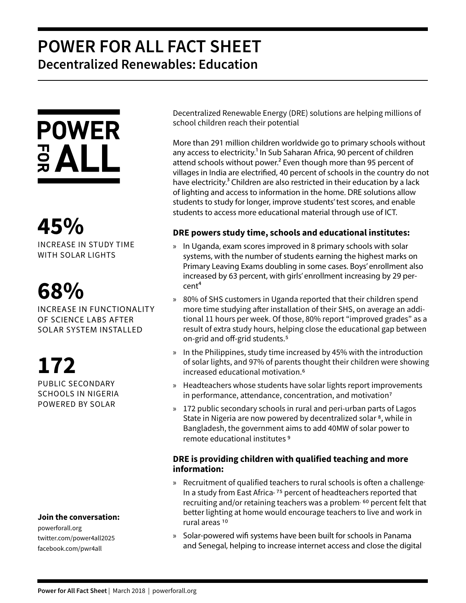## **POWER FOR ALL FACT SHEET Decentralized Renewables: Education**



**45%** INCREASE IN STUDY TIME WITH SOLAR LIGHTS

## **68%**

INCREASE IN FUNCTIONALITY OF SCIENCE LABS AFTER SOLAR SYSTEM INSTALLED

**172** PUBLIC SECONDARY SCHOOLS IN NIGERIA POWERED BY SOLAR

### **Join the conversation:**

powerforall.org twitter.com/power4all2025 facebook.com/pwr4all

Decentralized Renewable Energy (DRE) solutions are helping millions of school children reach their potential

More than 291 million children worldwide go to primary schools without any access to electricity.<sup>1</sup> In Sub Saharan Africa, 90 percent of children attend schools without power.<sup>2</sup> Even though more than 95 percent of villages in India are electrified, 40 percent of schools in the country do not have electricity.<sup>3</sup> Children are also restricted in their education by a lack of lighting and access to information in the home. DRE solutions allow students to study for longer, improve students' test scores, and enable students to access more educational material through use of ICT.

## **DRE powers study time, schools and educational institutes:**

- » In Uganda, exam scores improved in 8 primary schools with solar systems, with the number of students earning the highest marks on Primary Leaving Exams doubling in some cases. Boys' enrollment also increased by 63 percent, with girls' enrollment increasing by 29 per $cent<sup>4</sup>$
- » 80% of SHS customers in Uganda reported that their children spend more time studying after installation of their SHS, on average an additional 11 hours per week. Of those, 80% report "improved grades" as a result of extra study hours, helping close the educational gap between on-grid and off-grid students.5
- » In the Philippines, study time increased by 45% with the introduction of solar lights, and 97% of parents thought their children were showing increased educational motivation.6
- » Headteachers whose students have solar lights report improvements in performance, attendance, concentration, and motivation<sup>7</sup>
- » 172 public secondary schools in rural and peri-urban parts of Lagos State in Nigeria are now powered by decentralized solar<sup>8</sup>, while in Bangladesh, the government aims to add 40MW of solar power to remote educational institutes 9

## **DRE is providing children with qualified teaching and more information:**

- » Recruitment of qualified teachers to rural schools is often a challenge. In a study from East Africa<sup>, 75</sup> percent of headteachers reported that recruiting and/or retaining teachers was a problem<sup>. 60</sup> percent felt that better lighting at home would encourage teachers to live and work in rural areas 10
- » Solar-powered wifi systems have been built for schools in Panama and Senegal, helping to increase internet access and close the digital